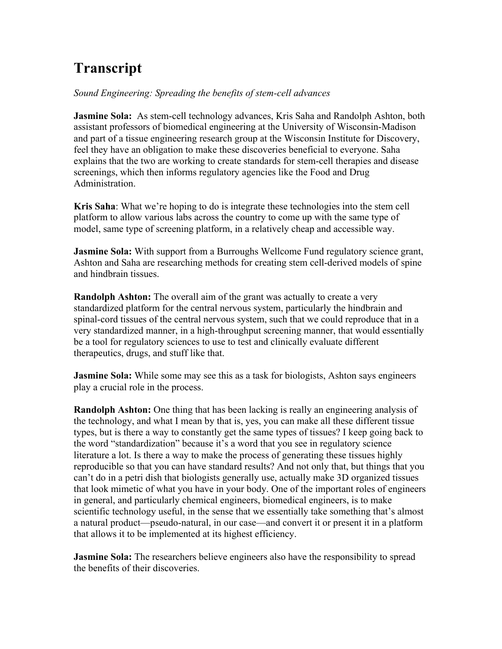## **Transcript**

## *Sound Engineering: Spreading the benefits of stem-cell advances*

**Jasmine Sola:** As stem-cell technology advances, Kris Saha and Randolph Ashton, both assistant professors of biomedical engineering at the University of Wisconsin-Madison and part of a tissue engineering research group at the Wisconsin Institute for Discovery, feel they have an obligation to make these discoveries beneficial to everyone. Saha explains that the two are working to create standards for stem-cell therapies and disease screenings, which then informs regulatory agencies like the Food and Drug Administration.

**Kris Saha**: What we're hoping to do is integrate these technologies into the stem cell platform to allow various labs across the country to come up with the same type of model, same type of screening platform, in a relatively cheap and accessible way.

**Jasmine Sola:** With support from a Burroughs Wellcome Fund regulatory science grant, Ashton and Saha are researching methods for creating stem cell-derived models of spine and hindbrain tissues.

**Randolph Ashton:** The overall aim of the grant was actually to create a very standardized platform for the central nervous system, particularly the hindbrain and spinal-cord tissues of the central nervous system, such that we could reproduce that in a very standardized manner, in a high-throughput screening manner, that would essentially be a tool for regulatory sciences to use to test and clinically evaluate different therapeutics, drugs, and stuff like that.

**Jasmine Sola:** While some may see this as a task for biologists, Ashton says engineers play a crucial role in the process.

**Randolph Ashton:** One thing that has been lacking is really an engineering analysis of the technology, and what I mean by that is, yes, you can make all these different tissue types, but is there a way to constantly get the same types of tissues? I keep going back to the word "standardization" because it's a word that you see in regulatory science literature a lot. Is there a way to make the process of generating these tissues highly reproducible so that you can have standard results? And not only that, but things that you can't do in a petri dish that biologists generally use, actually make 3D organized tissues that look mimetic of what you have in your body. One of the important roles of engineers in general, and particularly chemical engineers, biomedical engineers, is to make scientific technology useful, in the sense that we essentially take something that's almost a natural product—pseudo-natural, in our case—and convert it or present it in a platform that allows it to be implemented at its highest efficiency.

**Jasmine Sola:** The researchers believe engineers also have the responsibility to spread the benefits of their discoveries.